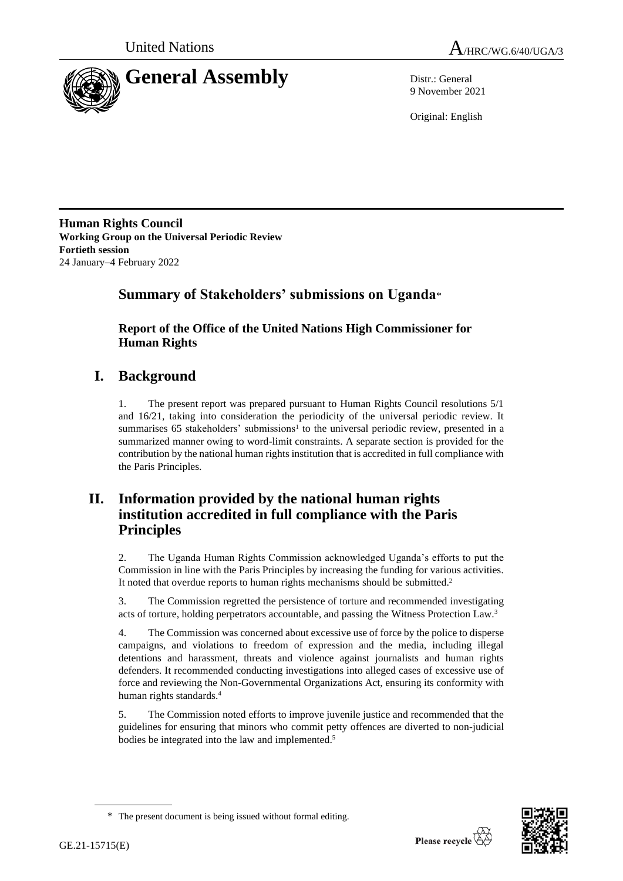



9 November 2021

Original: English

**Human Rights Council Working Group on the Universal Periodic Review Fortieth session** 24 January–4 February 2022

# **Summary of Stakeholders' submissions on Uganda**\*

**Report of the Office of the United Nations High Commissioner for Human Rights**

# **I. Background**

1. The present report was prepared pursuant to Human Rights Council resolutions 5/1 and 16/21, taking into consideration the periodicity of the universal periodic review. It summarises  $65$  stakeholders' submissions<sup>1</sup> to the universal periodic review, presented in a summarized manner owing to word-limit constraints. A separate section is provided for the contribution by the national human rights institution that is accredited in full compliance with the Paris Principles.

# **II. Information provided by the national human rights institution accredited in full compliance with the Paris Principles**

2. The Uganda Human Rights Commission acknowledged Uganda's efforts to put the Commission in line with the Paris Principles by increasing the funding for various activities. It noted that overdue reports to human rights mechanisms should be submitted.<sup>2</sup>

3. The Commission regretted the persistence of torture and recommended investigating acts of torture, holding perpetrators accountable, and passing the Witness Protection Law.<sup>3</sup>

4. The Commission was concerned about excessive use of force by the police to disperse campaigns, and violations to freedom of expression and the media, including illegal detentions and harassment, threats and violence against journalists and human rights defenders. It recommended conducting investigations into alleged cases of excessive use of force and reviewing the Non-Governmental Organizations Act, ensuring its conformity with human rights standards.<sup>4</sup>

5. The Commission noted efforts to improve juvenile justice and recommended that the guidelines for ensuring that minors who commit petty offences are diverted to non-judicial bodies be integrated into the law and implemented. 5



<sup>\*</sup> The present document is being issued without formal editing.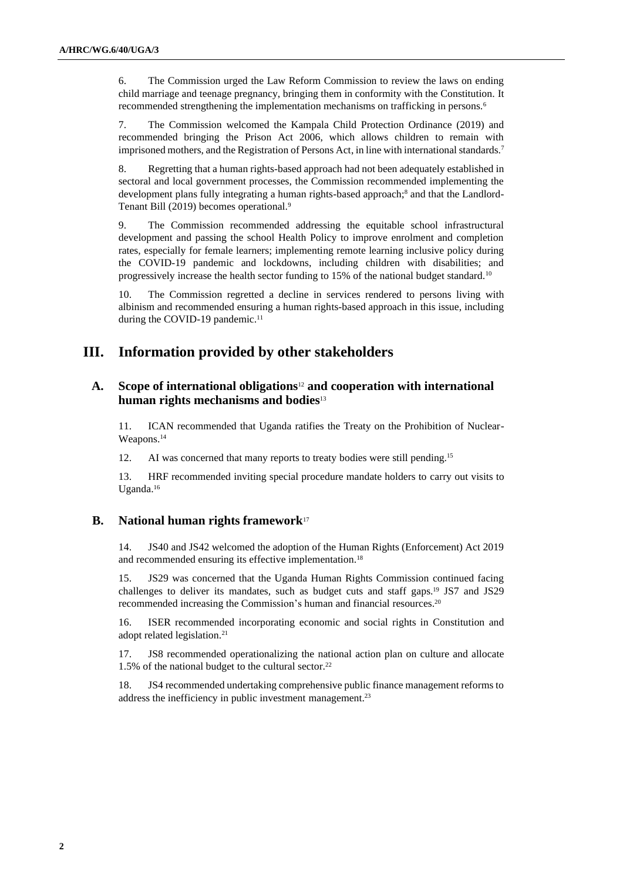6. The Commission urged the Law Reform Commission to review the laws on ending child marriage and teenage pregnancy, bringing them in conformity with the Constitution. It recommended strengthening the implementation mechanisms on trafficking in persons.<sup>6</sup>

7. The Commission welcomed the Kampala Child Protection Ordinance (2019) and recommended bringing the Prison Act 2006, which allows children to remain with imprisoned mothers, and the Registration of Persons Act, in line with international standards.<sup>7</sup>

8. Regretting that a human rights-based approach had not been adequately established in sectoral and local government processes, the Commission recommended implementing the development plans fully integrating a human rights-based approach;<sup>8</sup> and that the Landlord-Tenant Bill (2019) becomes operational.<sup>9</sup>

9. The Commission recommended addressing the equitable school infrastructural development and passing the school Health Policy to improve enrolment and completion rates, especially for female learners; implementing remote learning inclusive policy during the COVID-19 pandemic and lockdowns, including children with disabilities; and progressively increase the health sector funding to 15% of the national budget standard.<sup>10</sup>

10. The Commission regretted a decline in services rendered to persons living with albinism and recommended ensuring a human rights-based approach in this issue, including during the COVID-19 pandemic.<sup>11</sup>

## **III. Information provided by other stakeholders**

## **A. Scope of international obligations**<sup>12</sup> **and cooperation with international human rights mechanisms and bodies**<sup>13</sup>

11. ICAN recommended that Uganda ratifies the Treaty on the Prohibition of Nuclear-Weapons.<sup>14</sup>

12. AI was concerned that many reports to treaty bodies were still pending.<sup>15</sup>

13. HRF recommended inviting special procedure mandate holders to carry out visits to Uganda.<sup>16</sup>

### **B. National human rights framework**<sup>17</sup>

14. JS40 and JS42 welcomed the adoption of the Human Rights (Enforcement) Act 2019 and recommended ensuring its effective implementation.<sup>18</sup>

15. JS29 was concerned that the Uganda Human Rights Commission continued facing challenges to deliver its mandates, such as budget cuts and staff gaps. <sup>19</sup> JS7 and JS29 recommended increasing the Commission's human and financial resources. 20

16. ISER recommended incorporating economic and social rights in Constitution and adopt related legislation.<sup>21</sup>

17. JS8 recommended operationalizing the national action plan on culture and allocate 1.5% of the national budget to the cultural sector.<sup>22</sup>

18. JS4 recommended undertaking comprehensive public finance management reforms to address the inefficiency in public investment management. 23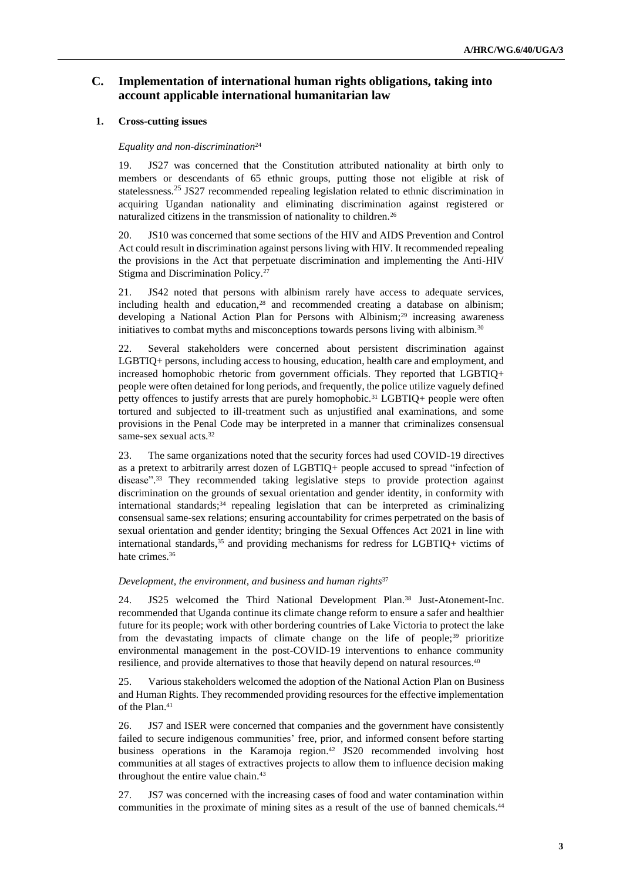## **C. Implementation of international human rights obligations, taking into account applicable international humanitarian law**

### **1. Cross-cutting issues**

#### *Equality and non-discrimination*<sup>24</sup>

19. JS27 was concerned that the Constitution attributed nationality at birth only to members or descendants of 65 ethnic groups, putting those not eligible at risk of statelessness.<sup>25</sup> JS27 recommended repealing legislation related to ethnic discrimination in acquiring Ugandan nationality and eliminating discrimination against registered or naturalized citizens in the transmission of nationality to children.<sup>26</sup>

20. JS10 was concerned that some sections of the HIV and AIDS Prevention and Control Act could result in discrimination against persons living with HIV. It recommended repealing the provisions in the Act that perpetuate discrimination and implementing the Anti-HIV Stigma and Discrimination Policy.<sup>27</sup>

21. JS42 noted that persons with albinism rarely have access to adequate services, including health and education,<sup>28</sup> and recommended creating a database on albinism; developing a National Action Plan for Persons with Albinism;<sup>29</sup> increasing awareness initiatives to combat myths and misconceptions towards persons living with albinism.<sup>30</sup>

22. Several stakeholders were concerned about persistent discrimination against LGBTIQ+ persons, including access to housing, education, health care and employment, and increased homophobic rhetoric from government officials. They reported that LGBTIQ+ people were often detained for long periods, and frequently, the police utilize vaguely defined petty offences to justify arrests that are purely homophobic.<sup>31</sup> LGBTIQ+ people were often tortured and subjected to ill-treatment such as unjustified anal examinations, and some provisions in the Penal Code may be interpreted in a manner that criminalizes consensual same-sex sexual acts.<sup>32</sup>

23. The same organizations noted that the security forces had used COVID-19 directives as a pretext to arbitrarily arrest dozen of LGBTIQ+ people accused to spread "infection of disease". <sup>33</sup> They recommended taking legislative steps to provide protection against discrimination on the grounds of sexual orientation and gender identity, in conformity with international standards;<sup>34</sup> repealing legislation that can be interpreted as criminalizing consensual same-sex relations; ensuring accountability for crimes perpetrated on the basis of sexual orientation and gender identity; bringing the Sexual Offences Act 2021 in line with international standards, <sup>35</sup> and providing mechanisms for redress for LGBTIQ+ victims of hate crimes. 36

#### *Development, the environment, and business and human rights*<sup>37</sup>

24. JS25 welcomed the Third National Development Plan.<sup>38</sup> Just-Atonement-Inc. recommended that Uganda continue its climate change reform to ensure a safer and healthier future for its people; work with other bordering countries of Lake Victoria to protect the lake from the devastating impacts of climate change on the life of people;<sup>39</sup> prioritize environmental management in the post-COVID-19 interventions to enhance community resilience, and provide alternatives to those that heavily depend on natural resources.<sup>40</sup>

25. Various stakeholders welcomed the adoption of the National Action Plan on Business and Human Rights. They recommended providing resources for the effective implementation of the Plan.<sup>41</sup>

26. JS7 and ISER were concerned that companies and the government have consistently failed to secure indigenous communities' free, prior, and informed consent before starting business operations in the Karamoja region.<sup>42</sup> JS20 recommended involving host communities at all stages of extractives projects to allow them to influence decision making throughout the entire value chain.<sup>43</sup>

27. JS7 was concerned with the increasing cases of food and water contamination within communities in the proximate of mining sites as a result of the use of banned chemicals.<sup>44</sup>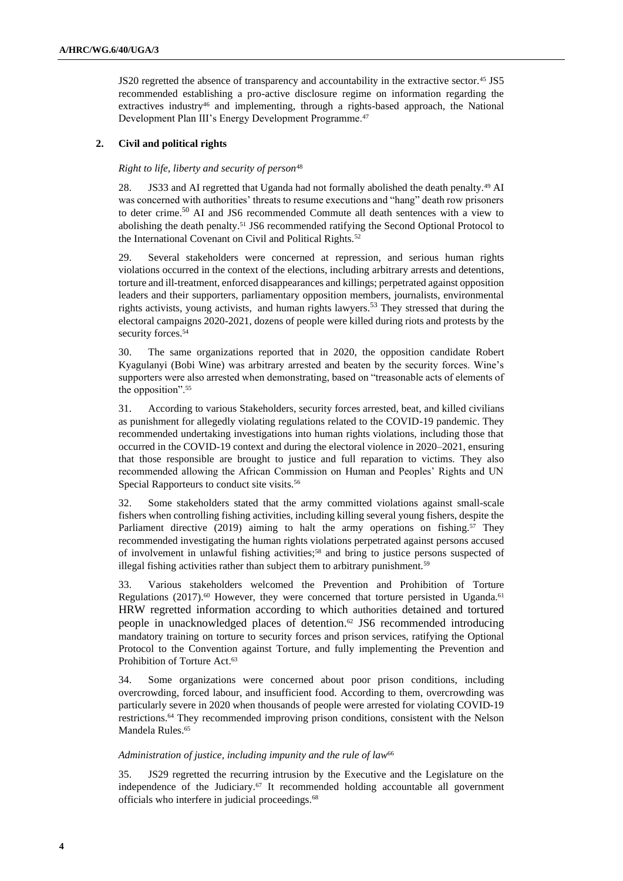JS20 regretted the absence of transparency and accountability in the extractive sector.<sup>45</sup> JS5 recommended establishing a pro-active disclosure regime on information regarding the extractives industry<sup>46</sup> and implementing, through a rights-based approach, the National Development Plan III's Energy Development Programme.<sup>47</sup>

### **2. Civil and political rights**

#### *Right to life, liberty and security of person*<sup>48</sup>

28. JS33 and AI regretted that Uganda had not formally abolished the death penalty.<sup>49</sup> AI was concerned with authorities' threats to resume executions and "hang" death row prisoners to deter crime.<sup>50</sup> AI and JS6 recommended Commute all death sentences with a view to abolishing the death penalty.<sup>51</sup> JS6 recommended ratifying the Second Optional Protocol to the International Covenant on Civil and Political Rights.<sup>52</sup>

29. Several stakeholders were concerned at repression, and serious human rights violations occurred in the context of the elections, including arbitrary arrests and detentions, torture and ill-treatment, enforced disappearances and killings; perpetrated against opposition leaders and their supporters, parliamentary opposition members, journalists, environmental rights activists, young activists, and human rights lawyers.<sup>53</sup> They stressed that during the electoral campaigns 2020-2021, dozens of people were killed during riots and protests by the security forces.<sup>54</sup>

30. The same organizations reported that in 2020, the opposition candidate Robert Kyagulanyi (Bobi Wine) was arbitrary arrested and beaten by the security forces. Wine's supporters were also arrested when demonstrating, based on "treasonable acts of elements of the opposition".<sup>55</sup>

31. According to various Stakeholders, security forces arrested, beat, and killed civilians as punishment for allegedly violating regulations related to the COVID-19 pandemic. They recommended undertaking investigations into human rights violations, including those that occurred in the COVID-19 context and during the electoral violence in 2020–2021, ensuring that those responsible are brought to justice and full reparation to victims. They also recommended allowing the African Commission on Human and Peoples' Rights and UN Special Rapporteurs to conduct site visits.<sup>56</sup>

32. Some stakeholders stated that the army committed violations against small-scale fishers when controlling fishing activities, including killing several young fishers, despite the Parliament directive (2019) aiming to halt the army operations on fishing.<sup>57</sup> They recommended investigating the human rights violations perpetrated against persons accused of involvement in unlawful fishing activities;<sup>58</sup> and bring to justice persons suspected of illegal fishing activities rather than subject them to arbitrary punishment.<sup>59</sup>

33. Various stakeholders welcomed the Prevention and Prohibition of Torture Regulations (2017).<sup>60</sup> However, they were concerned that torture persisted in Uganda.<sup>61</sup> HRW regretted information according to which authorities detained and tortured people in unacknowledged places of detention.<sup>62</sup> JS6 recommended introducing mandatory training on torture to security forces and prison services, ratifying the Optional Protocol to the Convention against Torture, and fully implementing the Prevention and Prohibition of Torture Act. 63

34. Some organizations were concerned about poor prison conditions, including overcrowding, forced labour, and insufficient food. According to them, overcrowding was particularly severe in 2020 when thousands of people were arrested for violating COVID-19 restrictions.<sup>64</sup> They recommended improving prison conditions, consistent with the Nelson Mandela Rules. 65

#### *Administration of justice, including impunity and the rule of law*<sup>66</sup>

35. JS29 regretted the recurring intrusion by the Executive and the Legislature on the independence of the Judiciary.<sup>67</sup> It recommended holding accountable all government officials who interfere in judicial proceedings.<sup>68</sup>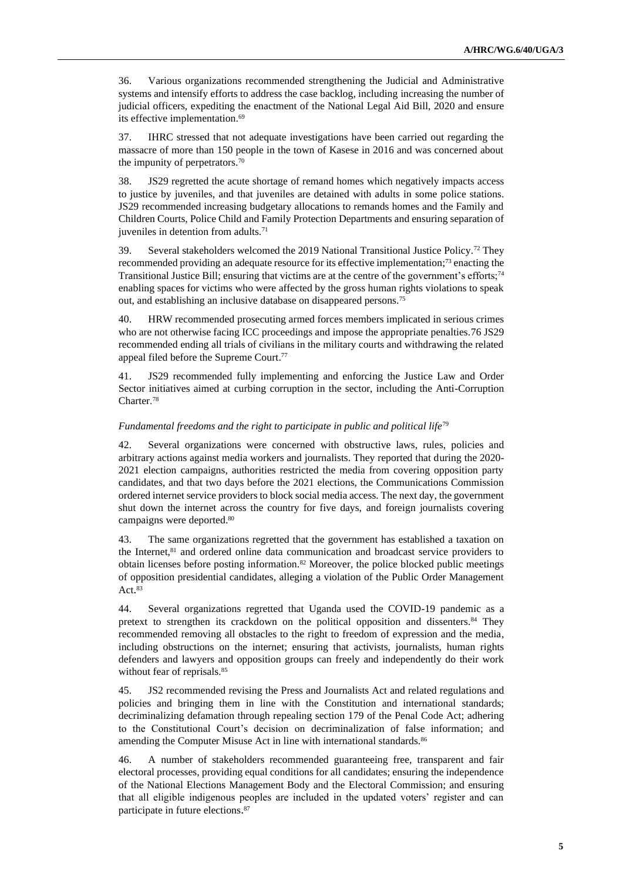36. Various organizations recommended strengthening the Judicial and Administrative systems and intensify efforts to address the case backlog, including increasing the number of judicial officers, expediting the enactment of the National Legal Aid Bill, 2020 and ensure its effective implementation.<sup>69</sup>

37. IHRC stressed that not adequate investigations have been carried out regarding the massacre of more than 150 people in the town of Kasese in 2016 and was concerned about the impunity of perpetrators.<sup>70</sup>

38. JS29 regretted the acute shortage of remand homes which negatively impacts access to justice by juveniles, and that juveniles are detained with adults in some police stations. JS29 recommended increasing budgetary allocations to remands homes and the Family and Children Courts, Police Child and Family Protection Departments and ensuring separation of juveniles in detention from adults.<sup>71</sup>

39. Several stakeholders welcomed the 2019 National Transitional Justice Policy.<sup>72</sup> They recommended providing an adequate resource for its effective implementation;<sup>73</sup> enacting the Transitional Justice Bill; ensuring that victims are at the centre of the government's efforts;<sup>74</sup> enabling spaces for victims who were affected by the gross human rights violations to speak out, and establishing an inclusive database on disappeared persons.<sup>75</sup>

40. HRW recommended prosecuting armed forces members implicated in serious crimes who are not otherwise facing ICC proceedings and impose the appropriate penalties.76 JS29 recommended ending all trials of civilians in the military courts and withdrawing the related appeal filed before the Supreme Court. 77

41. JS29 recommended fully implementing and enforcing the Justice Law and Order Sector initiatives aimed at curbing corruption in the sector, including the Anti-Corruption Charter.<sup>78</sup>

#### *Fundamental freedoms and the right to participate in public and political life*<sup>79</sup>

42. Several organizations were concerned with obstructive laws, rules, policies and arbitrary actions against media workers and journalists. They reported that during the 2020- 2021 election campaigns, authorities restricted the media from covering opposition party candidates, and that two days before the 2021 elections, the Communications Commission ordered internet service providers to block social media access. The next day, the government shut down the internet across the country for five days, and foreign journalists covering campaigns were deported. 80

43. The same organizations regretted that the government has established a taxation on the Internet,<sup>81</sup> and ordered online data communication and broadcast service providers to obtain licenses before posting information.<sup>82</sup> Moreover, the police blocked public meetings of opposition presidential candidates, alleging a violation of the Public Order Management Act. 83

44. Several organizations regretted that Uganda used the COVID-19 pandemic as a pretext to strengthen its crackdown on the political opposition and dissenters.<sup>84</sup> They recommended removing all obstacles to the right to freedom of expression and the media, including obstructions on the internet; ensuring that activists, journalists, human rights defenders and lawyers and opposition groups can freely and independently do their work without fear of reprisals. 85

45. JS2 recommended revising the Press and Journalists Act and related regulations and policies and bringing them in line with the Constitution and international standards; decriminalizing defamation through repealing section 179 of the Penal Code Act; adhering to the Constitutional Court's decision on decriminalization of false information; and amending the Computer Misuse Act in line with international standards.<sup>86</sup>

46. A number of stakeholders recommended guaranteeing free, transparent and fair electoral processes, providing equal conditions for all candidates; ensuring the independence of the National Elections Management Body and the Electoral Commission; and ensuring that all eligible indigenous peoples are included in the updated voters' register and can participate in future elections.<sup>87</sup>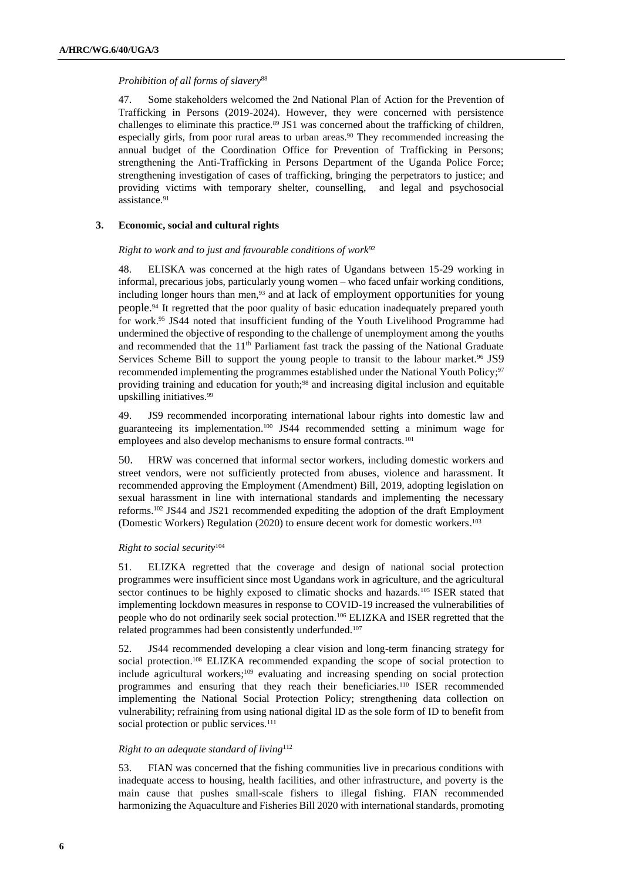#### *Prohibition of all forms of slavery*<sup>88</sup>

47. Some stakeholders welcomed the 2nd National Plan of Action for the Prevention of Trafficking in Persons (2019-2024). However, they were concerned with persistence challenges to eliminate this practice.<sup>89</sup> JS1 was concerned about the trafficking of children, especially girls, from poor rural areas to urban areas.<sup>90</sup> They recommended increasing the annual budget of the Coordination Office for Prevention of Trafficking in Persons; strengthening the Anti-Trafficking in Persons Department of the Uganda Police Force; strengthening investigation of cases of trafficking, bringing the perpetrators to justice; and providing victims with temporary shelter, counselling, and legal and psychosocial assistance.<sup>91</sup>

#### **3. Economic, social and cultural rights**

#### *Right to work and to just and favourable conditions of work*<sup>92</sup>

48. ELISKA was concerned at the high rates of Ugandans between 15-29 working in informal, precarious jobs, particularly young women – who faced unfair working conditions, including longer hours than men,<sup>93</sup> and at lack of employment opportunities for young people.<sup>94</sup> It regretted that the poor quality of basic education inadequately prepared youth for work.<sup>95</sup> JS44 noted that insufficient funding of the Youth Livelihood Programme had undermined the objective of responding to the challenge of unemployment among the youths and recommended that the  $11<sup>th</sup>$  Parliament fast track the passing of the National Graduate Services Scheme Bill to support the young people to transit to the labour market.<sup>96</sup> JS9 recommended implementing the programmes established under the National Youth Policy;<sup>97</sup> providing training and education for youth;<sup>98</sup> and increasing digital inclusion and equitable upskilling initiatives. 99

49. JS9 recommended incorporating international labour rights into domestic law and guaranteeing its implementation. <sup>100</sup> JS44 recommended setting a minimum wage for employees and also develop mechanisms to ensure formal contracts.<sup>101</sup>

50. HRW was concerned that informal sector workers, including domestic workers and street vendors, were not sufficiently protected from abuses, violence and harassment. It recommended approving the Employment (Amendment) Bill, 2019, adopting legislation on sexual harassment in line with international standards and implementing the necessary reforms.<sup>102</sup> JS44 and JS21 recommended expediting the adoption of the draft Employment (Domestic Workers) Regulation (2020) to ensure decent work for domestic workers. 103

#### *Right to social security*<sup>104</sup>

51. ELIZKA regretted that the coverage and design of national social protection programmes were insufficient since most Ugandans work in agriculture, and the agricultural sector continues to be highly exposed to climatic shocks and hazards.<sup>105</sup> ISER stated that implementing lockdown measures in response to COVID-19 increased the vulnerabilities of people who do not ordinarily seek social protection.<sup>106</sup> ELIZKA and ISER regretted that the related programmes had been consistently underfunded.<sup>107</sup>

52. JS44 recommended developing a clear vision and long-term financing strategy for social protection.<sup>108</sup> ELIZKA recommended expanding the scope of social protection to include agricultural workers;<sup>109</sup> evaluating and increasing spending on social protection programmes and ensuring that they reach their beneficiaries.<sup>110</sup> ISER recommended implementing the National Social Protection Policy; strengthening data collection on vulnerability; refraining from using national digital ID as the sole form of ID to benefit from social protection or public services.<sup>111</sup>

### *Right to an adequate standard of living*<sup>112</sup>

53. FIAN was concerned that the fishing communities live in precarious conditions with inadequate access to housing, health facilities, and other infrastructure, and poverty is the main cause that pushes small-scale fishers to illegal fishing. FIAN recommended harmonizing the Aquaculture and Fisheries Bill 2020 with international standards, promoting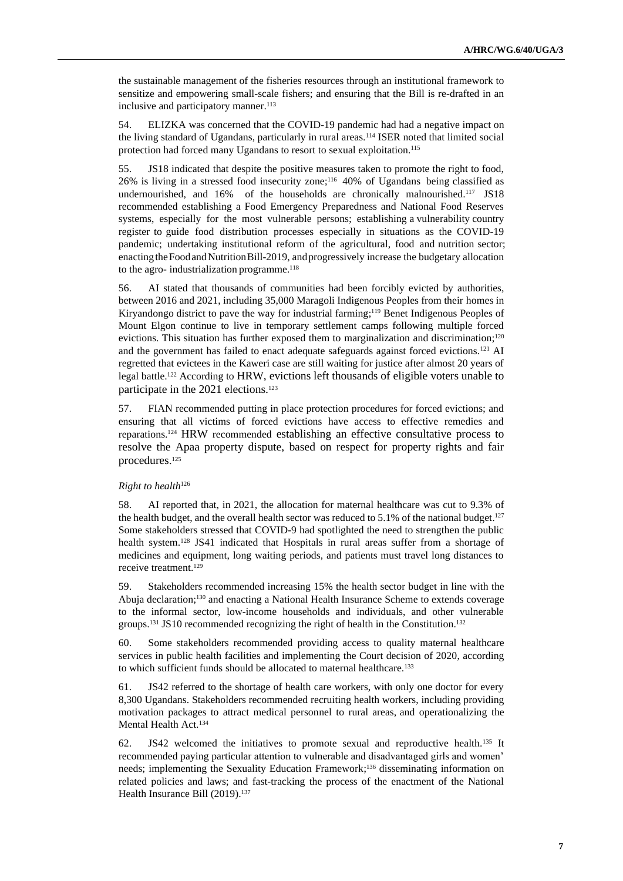the sustainable management of the fisheries resources through an institutional framework to sensitize and empowering small-scale fishers; and ensuring that the Bill is re-drafted in an inclusive and participatory manner.<sup>113</sup>

54. ELIZKA was concerned that the COVID-19 pandemic had had a negative impact on the living standard of Ugandans, particularly in rural areas.<sup>114</sup> ISER noted that limited social protection had forced many Ugandans to resort to sexual exploitation.<sup>115</sup>

55. JS18 indicated that despite the positive measures taken to promote the right to food, 26% is living in a stressed food insecurity zone;<sup>116</sup> 40% of Ugandans being classified as undernourished, and 16% of the households are chronically malnourished.<sup>117</sup> JS18 recommended establishing a Food Emergency Preparedness and National Food Reserves systems, especially for the most vulnerable persons; establishing a vulnerability country register to guide food distribution processes especially in situations as the COVID-19 pandemic; undertaking institutional reform of the agricultural, food and nutrition sector; enacting the Food and Nutrition Bill-2019, and progressively increase the budgetary allocation to the agro- industrialization programme. 118

56. AI stated that thousands of communities had been forcibly evicted by authorities, between 2016 and 2021, including 35,000 Maragoli Indigenous Peoples from their homes in Kiryandongo district to pave the way for industrial farming; <sup>119</sup> Benet Indigenous Peoples of Mount Elgon continue to live in temporary settlement camps following multiple forced evictions. This situation has further exposed them to marginalization and discrimination;<sup>120</sup> and the government has failed to enact adequate safeguards against forced evictions.<sup>121</sup> AI regretted that evictees in the Kaweri case are still waiting for justice after almost 20 years of legal battle.<sup>122</sup> According to HRW, evictions left thousands of eligible voters unable to participate in the 2021 elections.<sup>123</sup>

57. FIAN recommended putting in place protection procedures for forced evictions; and ensuring that all victims of forced evictions have access to effective remedies and reparations.<sup>124</sup> HRW recommended establishing an effective consultative process to resolve the Apaa property dispute, based on respect for property rights and fair procedures.<sup>125</sup>

#### *Right to health*<sup>126</sup>

58. AI reported that, in 2021, the allocation for maternal healthcare was cut to 9.3% of the health budget, and the overall health sector was reduced to  $5.1\%$  of the national budget.<sup>127</sup> Some stakeholders stressed that COVID-9 had spotlighted the need to strengthen the public health system.<sup>128</sup> JS41 indicated that Hospitals in rural areas suffer from a shortage of medicines and equipment, long waiting periods, and patients must travel long distances to receive treatment.<sup>129</sup>

59. Stakeholders recommended increasing 15% the health sector budget in line with the Abuja declaration;<sup>130</sup> and enacting a National Health Insurance Scheme to extends coverage to the informal sector, low-income households and individuals, and other vulnerable groups.<sup>131</sup> JS10 recommended recognizing the right of health in the Constitution. 132

60. Some stakeholders recommended providing access to quality maternal healthcare services in public health facilities and implementing the Court decision of 2020, according to which sufficient funds should be allocated to maternal healthcare.<sup>133</sup>

61. JS42 referred to the shortage of health care workers, with only one doctor for every 8,300 Ugandans. Stakeholders recommended recruiting health workers, including providing motivation packages to attract medical personnel to rural areas, and operationalizing the Mental Health Act.<sup>134</sup>

62. JS42 welcomed the initiatives to promote sexual and reproductive health.<sup>135</sup> It recommended paying particular attention to vulnerable and disadvantaged girls and women' needs; implementing the Sexuality Education Framework; <sup>136</sup> disseminating information on related policies and laws; and fast-tracking the process of the enactment of the National Health Insurance Bill (2019).<sup>137</sup>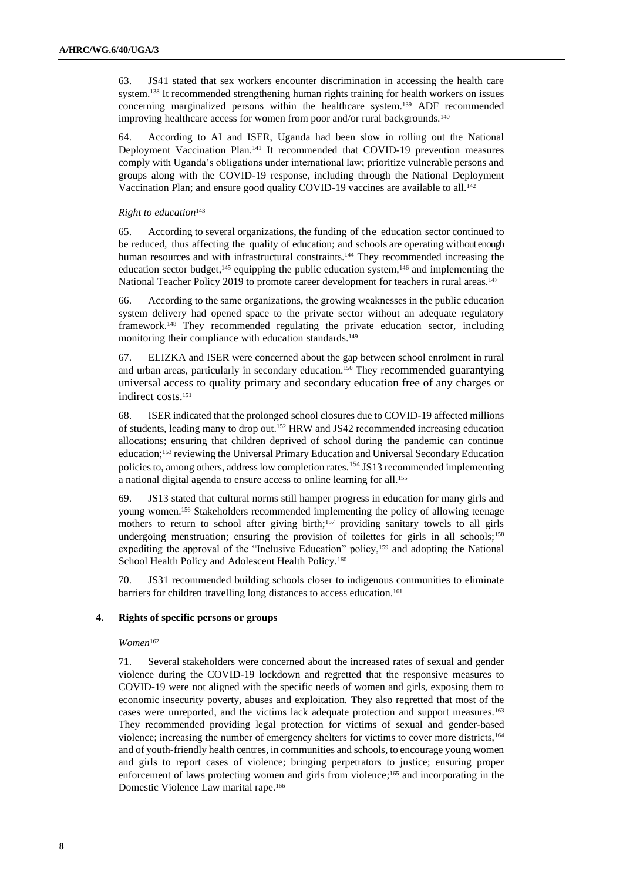63. JS41 stated that sex workers encounter discrimination in accessing the health care system.<sup>138</sup> It recommended strengthening human rights training for health workers on issues concerning marginalized persons within the healthcare system.<sup>139</sup> ADF recommended improving healthcare access for women from poor and/or rural backgrounds.<sup>140</sup>

64. According to AI and ISER, Uganda had been slow in rolling out the National Deployment Vaccination Plan.<sup>141</sup> It recommended that COVID-19 prevention measures comply with Uganda's obligations under international law; prioritize vulnerable persons and groups along with the COVID-19 response, including through the National Deployment Vaccination Plan; and ensure good quality COVID-19 vaccines are available to all. 142

#### *Right to education*<sup>143</sup>

65. According to several organizations, the funding of the education sector continued to be reduced, thus affecting the quality of education; and schools are operating without enough human resources and with infrastructural constraints.<sup>144</sup> They recommended increasing the education sector budget,<sup>145</sup> equipping the public education system,<sup>146</sup> and implementing the National Teacher Policy 2019 to promote career development for teachers in rural areas.<sup>147</sup>

66. According to the same organizations, the growing weaknesses in the public education system delivery had opened space to the private sector without an adequate regulatory framework.<sup>148</sup> They recommended regulating the private education sector, including monitoring their compliance with education standards.<sup>149</sup>

67. ELIZKA and ISER were concerned about the gap between school enrolment in rural and urban areas, particularly in secondary education.<sup>150</sup> They recommended guarantying universal access to quality primary and secondary education free of any charges or indirect costs.<sup>151</sup>

68. ISER indicated that the prolonged school closures due to COVID-19 affected millions of students, leading many to drop out.<sup>152</sup> HRW and JS42 recommended increasing education allocations; ensuring that children deprived of school during the pandemic can continue education;<sup>153</sup> reviewing the Universal Primary Education and Universal Secondary Education policies to, among others, address low completion rates.<sup>154</sup> JS13 recommended implementing a national digital agenda to ensure access to online learning for all.<sup>155</sup>

69. JS13 stated that cultural norms still hamper progress in education for many girls and young women.<sup>156</sup> Stakeholders recommended implementing the policy of allowing teenage mothers to return to school after giving birth;<sup>157</sup> providing sanitary towels to all girls undergoing menstruation; ensuring the provision of toilettes for girls in all schools;<sup>158</sup> expediting the approval of the "Inclusive Education" policy,<sup>159</sup> and adopting the National School Health Policy and Adolescent Health Policy.<sup>160</sup>

70. JS31 recommended building schools closer to indigenous communities to eliminate barriers for children travelling long distances to access education.<sup>161</sup>

#### **4. Rights of specific persons or groups**

#### *Women*<sup>162</sup>

71. Several stakeholders were concerned about the increased rates of sexual and gender violence during the COVID-19 lockdown and regretted that the responsive measures to COVID-19 were not aligned with the specific needs of women and girls, exposing them to economic insecurity poverty, abuses and exploitation. They also regretted that most of the cases were unreported, and the victims lack adequate protection and support measures.<sup>163</sup> They recommended providing legal protection for victims of sexual and gender-based violence; increasing the number of emergency shelters for victims to cover more districts,<sup>164</sup> and of youth-friendly health centres, in communities and schools, to encourage young women and girls to report cases of violence; bringing perpetrators to justice; ensuring proper enforcement of laws protecting women and girls from violence; <sup>165</sup> and incorporating in the Domestic Violence Law marital rape.166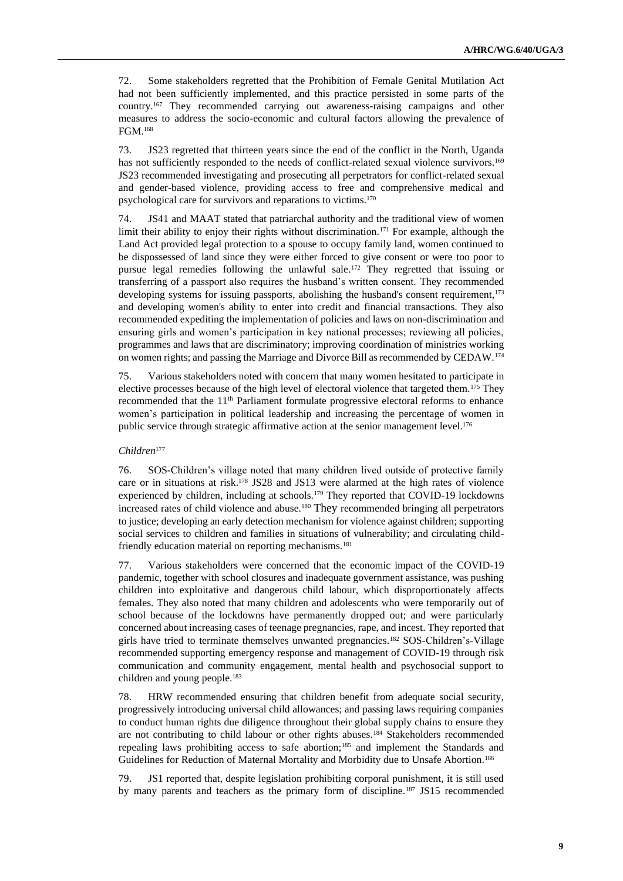72. Some stakeholders regretted that the Prohibition of Female Genital Mutilation Act had not been sufficiently implemented, and this practice persisted in some parts of the country.<sup>167</sup> They recommended carrying out awareness-raising campaigns and other measures to address the socio-economic and cultural factors allowing the prevalence of FGM.<sup>168</sup>

73. JS23 regretted that thirteen years since the end of the conflict in the North, Uganda has not sufficiently responded to the needs of conflict-related sexual violence survivors.<sup>169</sup> JS23 recommended investigating and prosecuting all perpetrators for conflict-related sexual and gender-based violence, providing access to free and comprehensive medical and psychological care for survivors and reparations to victims.<sup>170</sup>

74. JS41 and MAAT stated that patriarchal authority and the traditional view of women limit their ability to enjoy their rights without discrimination.<sup>171</sup> For example, although the Land Act provided legal protection to a spouse to occupy family land, women continued to be dispossessed of land since they were either forced to give consent or were too poor to pursue legal remedies following the unlawful sale.<sup>172</sup> They regretted that issuing or transferring of a passport also requires the husband's written consent. They recommended developing systems for issuing passports, abolishing the husband's consent requirement,<sup>173</sup> and developing women's ability to enter into credit and financial transactions. They also recommended expediting the implementation of policies and laws on non-discrimination and ensuring girls and women's participation in key national processes; reviewing all policies, programmes and laws that are discriminatory; improving coordination of ministries working on women rights; and passing the Marriage and Divorce Bill as recommended by CEDAW.<sup>174</sup>

75. Various stakeholders noted with concern that many women hesitated to participate in elective processes because of the high level of electoral violence that targeted them.<sup>175</sup> They recommended that the 11<sup>th</sup> Parliament formulate progressive electoral reforms to enhance women's participation in political leadership and increasing the percentage of women in public service through strategic affirmative action at the senior management level.<sup>176</sup>

#### *Children*<sup>177</sup>

76. SOS-Children's village noted that many children lived outside of protective family care or in situations at risk.<sup>178</sup> JS28 and JS13 were alarmed at the high rates of violence experienced by children, including at schools.<sup>179</sup> They reported that COVID-19 lockdowns increased rates of child violence and abuse.<sup>180</sup> They recommended bringing all perpetrators to justice; developing an early detection mechanism for violence against children; supporting social services to children and families in situations of vulnerability; and circulating childfriendly education material on reporting mechanisms.<sup>181</sup>

77. Various stakeholders were concerned that the economic impact of the COVID-19 pandemic, together with school closures and inadequate government assistance, was pushing children into exploitative and dangerous child labour, which disproportionately affects females. They also noted that many children and adolescents who were temporarily out of school because of the lockdowns have permanently dropped out; and were particularly concerned about increasing cases of teenage pregnancies, rape, and incest. They reported that girls have tried to terminate themselves unwanted pregnancies.<sup>182</sup> SOS-Children's-Village recommended supporting emergency response and management of COVID-19 through risk communication and community engagement, mental health and psychosocial support to children and young people.<sup>183</sup>

78. HRW recommended ensuring that children benefit from adequate social security, progressively introducing universal child allowances; and passing laws requiring companies to conduct human rights due diligence throughout their global supply chains to ensure they are not contributing to child labour or other rights abuses.<sup>184</sup> Stakeholders recommended repealing laws prohibiting access to safe abortion;<sup>185</sup> and implement the Standards and Guidelines for Reduction of Maternal Mortality and Morbidity due to Unsafe Abortion.<sup>186</sup>

79. JS1 reported that, despite legislation prohibiting corporal punishment, it is still used by many parents and teachers as the primary form of discipline.<sup>187</sup> JS15 recommended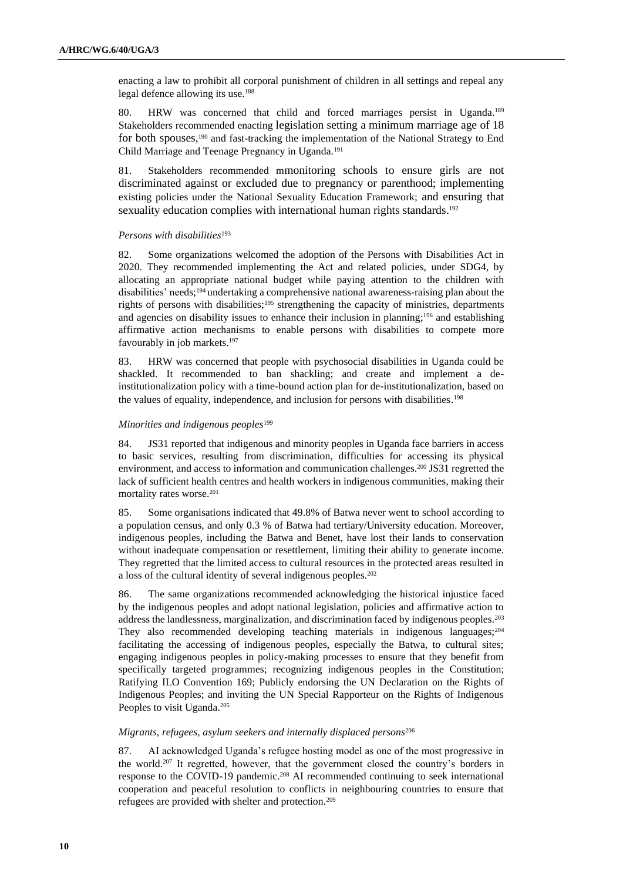enacting a law to prohibit all corporal punishment of children in all settings and repeal any legal defence allowing its use.<sup>188</sup>

80. HRW was concerned that child and forced marriages persist in Uganda.<sup>189</sup> Stakeholders recommended enacting legislation setting a minimum marriage age of 18 for both spouses,<sup>190</sup> and fast-tracking the implementation of the National Strategy to End Child Marriage and Teenage Pregnancy in Uganda.<sup>191</sup>

81. Stakeholders recommended mmonitoring schools to ensure girls are not discriminated against or excluded due to pregnancy or parenthood; implementing existing policies under the National Sexuality Education Framework; and ensuring that sexuality education complies with international human rights standards.<sup>192</sup>

#### *Persons with disabilities*<sup>193</sup>

82. Some organizations welcomed the adoption of the Persons with Disabilities Act in 2020. They recommended implementing the Act and related policies, under SDG4, by allocating an appropriate national budget while paying attention to the children with disabilities' needs;<sup>194</sup> undertaking a comprehensive national awareness-raising plan about the rights of persons with disabilities;<sup>195</sup> strengthening the capacity of ministries, departments and agencies on disability issues to enhance their inclusion in planning;<sup>196</sup> and establishing affirmative action mechanisms to enable persons with disabilities to compete more favourably in job markets.<sup>197</sup>

83. HRW was concerned that people with psychosocial disabilities in Uganda could be shackled. It recommended to ban shackling; and create and implement a deinstitutionalization policy with a time-bound action plan for de-institutionalization, based on the values of equality, independence, and inclusion for persons with disabilities. 198

#### *Minorities and indigenous peoples*<sup>199</sup>

84. JS31 reported that indigenous and minority peoples in Uganda face barriers in access to basic services, resulting from discrimination, difficulties for accessing its physical environment, and access to information and communication challenges.<sup>200</sup> JS31 regretted the lack of sufficient health centres and health workers in indigenous communities, making their mortality rates worse.<sup>201</sup>

85. Some organisations indicated that 49.8% of Batwa never went to school according to a population census, and only 0.3 % of Batwa had tertiary/University education. Moreover, indigenous peoples, including the Batwa and Benet, have lost their lands to conservation without inadequate compensation or resettlement, limiting their ability to generate income. They regretted that the limited access to cultural resources in the protected areas resulted in a loss of the cultural identity of several indigenous peoples.<sup>202</sup>

86. The same organizations recommended acknowledging the historical injustice faced by the indigenous peoples and adopt national legislation, policies and affirmative action to address the landlessness, marginalization, and discrimination faced by indigenous peoples.<sup>203</sup> They also recommended developing teaching materials in indigenous languages; $204$ facilitating the accessing of indigenous peoples, especially the Batwa, to cultural sites; engaging indigenous peoples in policy-making processes to ensure that they benefit from specifically targeted programmes; recognizing indigenous peoples in the Constitution; Ratifying ILO Convention 169; Publicly endorsing the UN Declaration on the Rights of Indigenous Peoples; and inviting the UN Special Rapporteur on the Rights of Indigenous Peoples to visit Uganda.<sup>205</sup>

#### *Migrants, refugees, asylum seekers and internally displaced persons*<sup>206</sup>

87. AI acknowledged Uganda's refugee hosting model as one of the most progressive in the world.<sup>207</sup> It regretted, however, that the government closed the country's borders in response to the COVID-19 pandemic.<sup>208</sup> AI recommended continuing to seek international cooperation and peaceful resolution to conflicts in neighbouring countries to ensure that refugees are provided with shelter and protection.209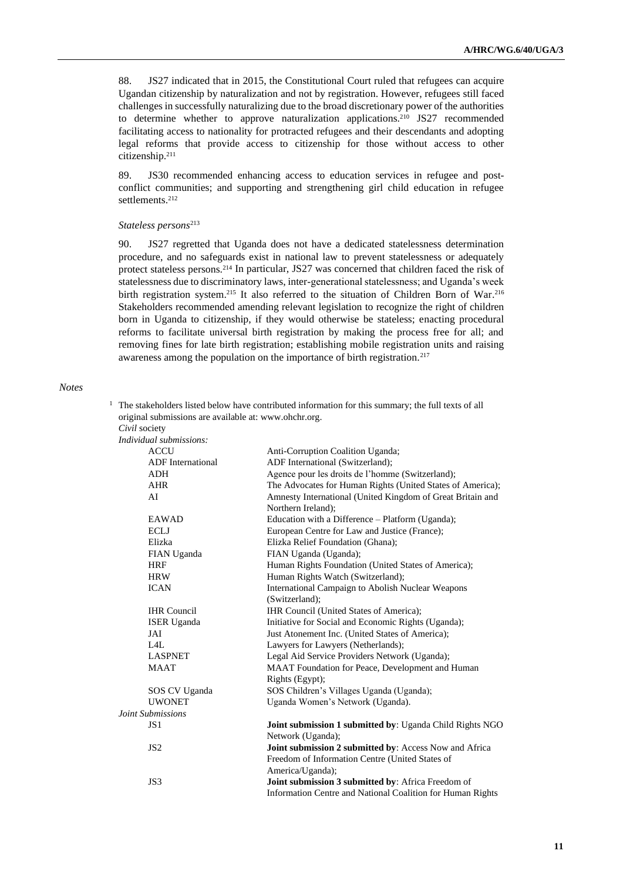88. JS27 indicated that in 2015, the Constitutional Court ruled that refugees can acquire Ugandan citizenship by naturalization and not by registration. However, refugees still faced challenges in successfully naturalizing due to the broad discretionary power of the authorities to determine whether to approve naturalization applications.<sup>210</sup> JS27 recommended facilitating access to nationality for protracted refugees and their descendants and adopting legal reforms that provide access to citizenship for those without access to other citizenship.<sup>211</sup>

89. JS30 recommended enhancing access to education services in refugee and postconflict communities; and supporting and strengthening girl child education in refugee settlements.<sup>212</sup>

#### *Stateless persons*<sup>213</sup>

90. JS27 regretted that Uganda does not have a dedicated statelessness determination procedure, and no safeguards exist in national law to prevent statelessness or adequately protect stateless persons.<sup>214</sup> In particular, JS27 was concerned that children faced the risk of statelessness due to discriminatory laws, inter-generational statelessness; and Uganda's week birth registration system.<sup>215</sup> It also referred to the situation of Children Born of War.<sup>216</sup> Stakeholders recommended amending relevant legislation to recognize the right of children born in Uganda to citizenship, if they would otherwise be stateless; enacting procedural reforms to facilitate universal birth registration by making the process free for all; and removing fines for late birth registration; establishing mobile registration units and raising awareness among the population on the importance of birth registration.<sup>217</sup>

#### *Notes*

<sup>1</sup> The stakeholders listed below have contributed information for this summary; the full texts of all original submissions are available at: [www.ohchr.org.](http://www.ohchr.org/) *Civil* society

| Civil society            |                                                                 |
|--------------------------|-----------------------------------------------------------------|
| Individual submissions:  |                                                                 |
| <b>ACCU</b>              | Anti-Corruption Coalition Uganda;                               |
| <b>ADF</b> International | ADF International (Switzerland);                                |
| <b>ADH</b>               | Agence pour les droits de l'homme (Switzerland);                |
| <b>AHR</b>               | The Advocates for Human Rights (United States of America);      |
| AI                       | Amnesty International (United Kingdom of Great Britain and      |
|                          | Northern Ireland);                                              |
| EAWAD                    | Education with a Difference - Platform (Uganda);                |
| <b>ECLJ</b>              | European Centre for Law and Justice (France);                   |
| Elizka                   | Elizka Relief Foundation (Ghana);                               |
| FIAN Uganda              | FIAN Uganda (Uganda);                                           |
| <b>HRF</b>               | Human Rights Foundation (United States of America);             |
| <b>HRW</b>               | Human Rights Watch (Switzerland);                               |
| <b>ICAN</b>              | International Campaign to Abolish Nuclear Weapons               |
|                          | (Switzerland);                                                  |
| <b>IHR</b> Council       | IHR Council (United States of America);                         |
| <b>ISER</b> Uganda       | Initiative for Social and Economic Rights (Uganda);             |
| JAI                      | Just Atonement Inc. (United States of America);                 |
| IAL                      | Lawyers for Lawyers (Netherlands);                              |
| <b>LASPNET</b>           | Legal Aid Service Providers Network (Uganda);                   |
| <b>MAAT</b>              | MAAT Foundation for Peace, Development and Human                |
|                          | Rights (Egypt);                                                 |
| SOS CV Uganda            | SOS Children's Villages Uganda (Uganda);                        |
| <b>UWONET</b>            | Uganda Women's Network (Uganda).                                |
| Joint Submissions        |                                                                 |
| JS1                      | <b>Joint submission 1 submitted by: Uganda Child Rights NGO</b> |
|                          | Network (Uganda);                                               |
| JS <sub>2</sub>          | Joint submission 2 submitted by: Access Now and Africa          |
|                          | Freedom of Information Centre (United States of                 |
|                          | America/Uganda);                                                |
| JS3                      | Joint submission 3 submitted by: Africa Freedom of              |
|                          | Information Centre and National Coalition for Human Rights      |
|                          |                                                                 |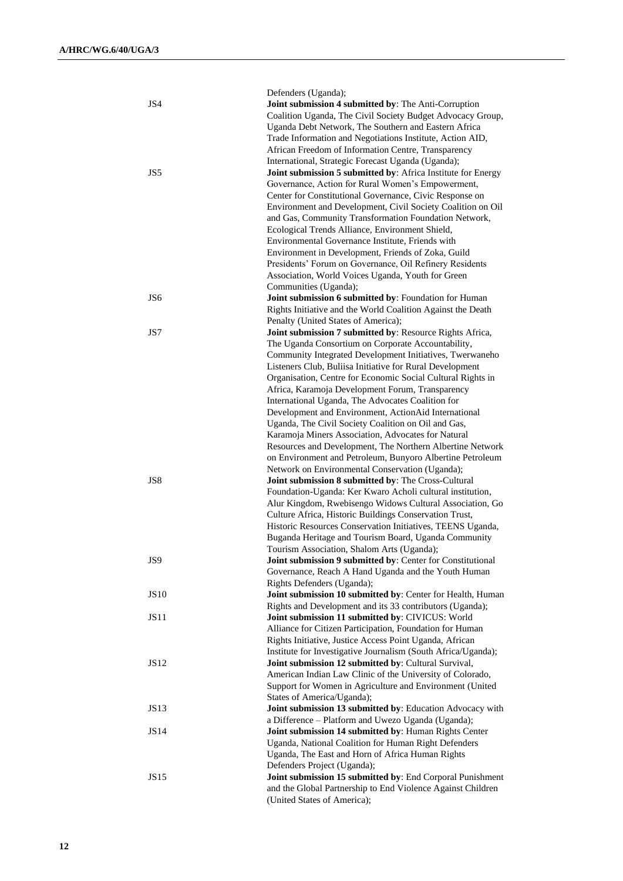| JS4             | Defenders (Uganda);<br>Joint submission 4 submitted by: The Anti-Corruption<br>Coalition Uganda, The Civil Society Budget Advocacy Group,<br>Uganda Debt Network, The Southern and Eastern Africa<br>Trade Information and Negotiations Institute, Action AID,<br>African Freedom of Information Centre, Transparency                                                                                                                                                                                                                                                                                                                                                                                                                                |
|-----------------|------------------------------------------------------------------------------------------------------------------------------------------------------------------------------------------------------------------------------------------------------------------------------------------------------------------------------------------------------------------------------------------------------------------------------------------------------------------------------------------------------------------------------------------------------------------------------------------------------------------------------------------------------------------------------------------------------------------------------------------------------|
| JS5             | International, Strategic Forecast Uganda (Uganda);<br>Joint submission 5 submitted by: Africa Institute for Energy<br>Governance, Action for Rural Women's Empowerment,<br>Center for Constitutional Governance, Civic Response on<br>Environment and Development, Civil Society Coalition on Oil<br>and Gas, Community Transformation Foundation Network,<br>Ecological Trends Alliance, Environment Shield,<br>Environmental Governance Institute, Friends with<br>Environment in Development, Friends of Zoka, Guild<br>Presidents' Forum on Governance, Oil Refinery Residents<br>Association, World Voices Uganda, Youth for Green<br>Communities (Uganda);                                                                                     |
| JS <sub>6</sub> | Joint submission 6 submitted by: Foundation for Human<br>Rights Initiative and the World Coalition Against the Death                                                                                                                                                                                                                                                                                                                                                                                                                                                                                                                                                                                                                                 |
| JS7             | Penalty (United States of America);<br>Joint submission 7 submitted by: Resource Rights Africa,<br>The Uganda Consortium on Corporate Accountability,<br>Community Integrated Development Initiatives, Twerwaneho<br>Listeners Club, Buliisa Initiative for Rural Development<br>Organisation, Centre for Economic Social Cultural Rights in<br>Africa, Karamoja Development Forum, Transparency<br>International Uganda, The Advocates Coalition for<br>Development and Environment, ActionAid International<br>Uganda, The Civil Society Coalition on Oil and Gas,<br>Karamoja Miners Association, Advocates for Natural<br>Resources and Development, The Northern Albertine Network<br>on Environment and Petroleum, Bunyoro Albertine Petroleum |
| JS8             | Network on Environmental Conservation (Uganda);<br>Joint submission 8 submitted by: The Cross-Cultural<br>Foundation-Uganda: Ker Kwaro Acholi cultural institution,<br>Alur Kingdom, Rwebisengo Widows Cultural Association, Go<br>Culture Africa, Historic Buildings Conservation Trust,<br>Historic Resources Conservation Initiatives, TEENS Uganda,<br>Buganda Heritage and Tourism Board, Uganda Community<br>Tourism Association, Shalom Arts (Uganda);                                                                                                                                                                                                                                                                                        |
| JS9             | Joint submission 9 submitted by: Center for Constitutional<br>Governance, Reach A Hand Uganda and the Youth Human<br>Rights Defenders (Uganda);                                                                                                                                                                                                                                                                                                                                                                                                                                                                                                                                                                                                      |
| <b>JS10</b>     | Joint submission 10 submitted by: Center for Health, Human<br>Rights and Development and its 33 contributors (Uganda);                                                                                                                                                                                                                                                                                                                                                                                                                                                                                                                                                                                                                               |
| JS11            | Joint submission 11 submitted by: CIVICUS: World<br>Alliance for Citizen Participation, Foundation for Human<br>Rights Initiative, Justice Access Point Uganda, African<br>Institute for Investigative Journalism (South Africa/Uganda);                                                                                                                                                                                                                                                                                                                                                                                                                                                                                                             |
| JS12            | Joint submission 12 submitted by: Cultural Survival,<br>American Indian Law Clinic of the University of Colorado,<br>Support for Women in Agriculture and Environment (United<br>States of America/Uganda);                                                                                                                                                                                                                                                                                                                                                                                                                                                                                                                                          |
| JS13            | Joint submission 13 submitted by: Education Advocacy with<br>a Difference - Platform and Uwezo Uganda (Uganda);                                                                                                                                                                                                                                                                                                                                                                                                                                                                                                                                                                                                                                      |
| JS14            | Joint submission 14 submitted by: Human Rights Center<br>Uganda, National Coalition for Human Right Defenders<br>Uganda, The East and Horn of Africa Human Rights                                                                                                                                                                                                                                                                                                                                                                                                                                                                                                                                                                                    |
| JS15            | Defenders Project (Uganda);<br>Joint submission 15 submitted by: End Corporal Punishment<br>and the Global Partnership to End Violence Against Children<br>(United States of America);                                                                                                                                                                                                                                                                                                                                                                                                                                                                                                                                                               |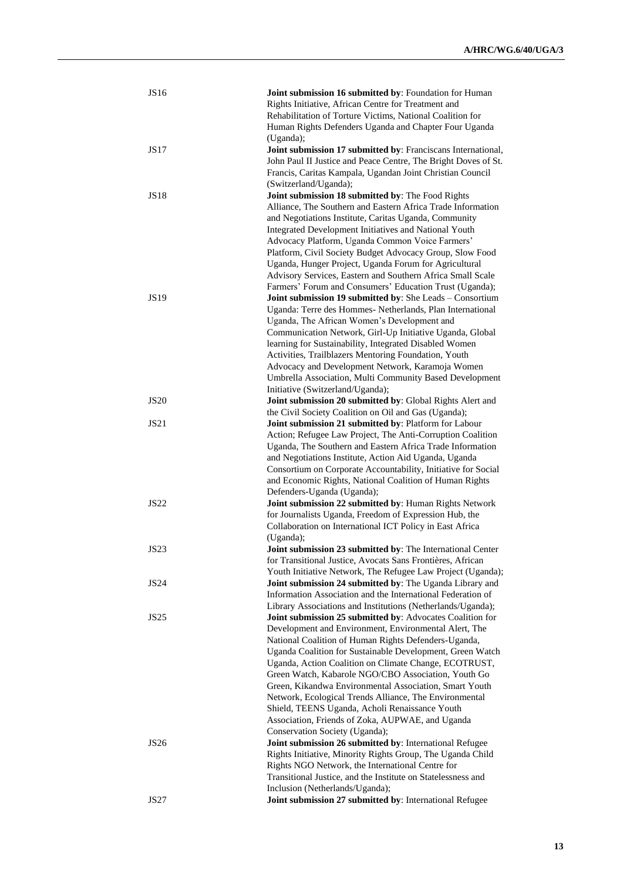| <b>JS16</b> | Joint submission 16 submitted by: Foundation for Human                                                             |
|-------------|--------------------------------------------------------------------------------------------------------------------|
|             | Rights Initiative, African Centre for Treatment and                                                                |
|             | Rehabilitation of Torture Victims, National Coalition for                                                          |
|             | Human Rights Defenders Uganda and Chapter Four Uganda                                                              |
|             | (Uganda);                                                                                                          |
| <b>JS17</b> | Joint submission 17 submitted by: Franciscans International,                                                       |
|             | John Paul II Justice and Peace Centre, The Bright Doves of St.                                                     |
|             | Francis, Caritas Kampala, Ugandan Joint Christian Council                                                          |
|             | (Switzerland/Uganda);                                                                                              |
| <b>JS18</b> | Joint submission 18 submitted by: The Food Rights                                                                  |
|             | Alliance, The Southern and Eastern Africa Trade Information                                                        |
|             | and Negotiations Institute, Caritas Uganda, Community                                                              |
|             | Integrated Development Initiatives and National Youth                                                              |
|             | Advocacy Platform, Uganda Common Voice Farmers'                                                                    |
|             | Platform, Civil Society Budget Advocacy Group, Slow Food                                                           |
|             | Uganda, Hunger Project, Uganda Forum for Agricultural                                                              |
|             | Advisory Services, Eastern and Southern Africa Small Scale                                                         |
|             | Farmers' Forum and Consumers' Education Trust (Uganda);                                                            |
| <b>JS19</b> | Joint submission 19 submitted by: She Leads - Consortium                                                           |
|             | Uganda: Terre des Hommes- Netherlands, Plan International                                                          |
|             | Uganda, The African Women's Development and                                                                        |
|             | Communication Network, Girl-Up Initiative Uganda, Global                                                           |
|             | learning for Sustainability, Integrated Disabled Women                                                             |
|             | Activities, Trailblazers Mentoring Foundation, Youth                                                               |
|             | Advocacy and Development Network, Karamoja Women                                                                   |
|             | Umbrella Association, Multi Community Based Development                                                            |
|             | Initiative (Switzerland/Uganda);                                                                                   |
| <b>JS20</b> | Joint submission 20 submitted by: Global Rights Alert and                                                          |
| <b>JS21</b> | the Civil Society Coalition on Oil and Gas (Uganda);                                                               |
|             | Joint submission 21 submitted by: Platform for Labour                                                              |
|             | Action; Refugee Law Project, The Anti-Corruption Coalition                                                         |
|             | Uganda, The Southern and Eastern Africa Trade Information<br>and Negotiations Institute, Action Aid Uganda, Uganda |
|             | Consortium on Corporate Accountability, Initiative for Social                                                      |
|             | and Economic Rights, National Coalition of Human Rights                                                            |
|             | Defenders-Uganda (Uganda);                                                                                         |
| <b>JS22</b> | Joint submission 22 submitted by: Human Rights Network                                                             |
|             | for Journalists Uganda, Freedom of Expression Hub, the                                                             |
|             | Collaboration on International ICT Policy in East Africa                                                           |
|             | (Uganda);                                                                                                          |
| <b>JS23</b> | Joint submission 23 submitted by: The International Center                                                         |
|             | for Transitional Justice, Avocats Sans Frontières, African                                                         |
|             | Youth Initiative Network, The Refugee Law Project (Uganda);                                                        |
| <b>JS24</b> | Joint submission 24 submitted by: The Uganda Library and                                                           |
|             | Information Association and the International Federation of                                                        |
|             | Library Associations and Institutions (Netherlands/Uganda);                                                        |
| JS25        | Joint submission 25 submitted by: Advocates Coalition for                                                          |
|             | Development and Environment, Environmental Alert, The                                                              |
|             | National Coalition of Human Rights Defenders-Uganda,                                                               |
|             | Uganda Coalition for Sustainable Development, Green Watch                                                          |
|             | Uganda, Action Coalition on Climate Change, ECOTRUST,                                                              |
|             | Green Watch, Kabarole NGO/CBO Association, Youth Go                                                                |
|             | Green, Kikandwa Environmental Association, Smart Youth                                                             |
|             | Network, Ecological Trends Alliance, The Environmental                                                             |
|             | Shield, TEENS Uganda, Acholi Renaissance Youth                                                                     |
|             | Association, Friends of Zoka, AUPWAE, and Uganda                                                                   |
|             | Conservation Society (Uganda);                                                                                     |
| <b>JS26</b> | Joint submission 26 submitted by: International Refugee                                                            |
|             | Rights Initiative, Minority Rights Group, The Uganda Child                                                         |
|             | Rights NGO Network, the International Centre for                                                                   |
|             | Transitional Justice, and the Institute on Statelessness and                                                       |
|             | Inclusion (Netherlands/Uganda);                                                                                    |
| <b>JS27</b> | Joint submission 27 submitted by: International Refugee                                                            |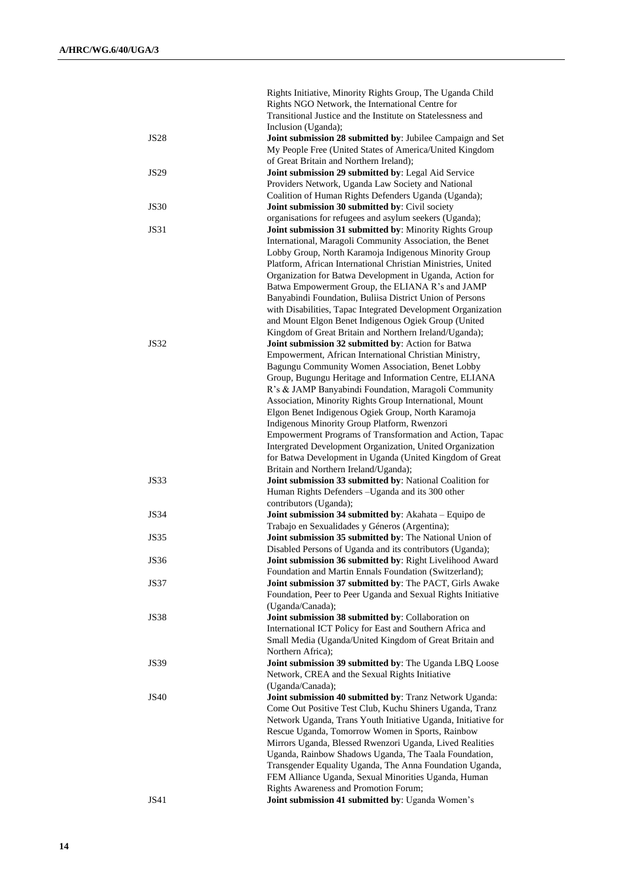|             | Rights Initiative, Minority Rights Group, The Uganda Child                                                          |
|-------------|---------------------------------------------------------------------------------------------------------------------|
|             | Rights NGO Network, the International Centre for                                                                    |
|             | Transitional Justice and the Institute on Statelessness and                                                         |
| <b>JS28</b> | Inclusion (Uganda);<br>Joint submission 28 submitted by: Jubilee Campaign and Set                                   |
|             | My People Free (United States of America/United Kingdom                                                             |
|             | of Great Britain and Northern Ireland);                                                                             |
| <b>JS29</b> | Joint submission 29 submitted by: Legal Aid Service                                                                 |
|             | Providers Network, Uganda Law Society and National                                                                  |
|             | Coalition of Human Rights Defenders Uganda (Uganda);                                                                |
| <b>JS30</b> | Joint submission 30 submitted by: Civil society                                                                     |
|             | organisations for refugees and asylum seekers (Uganda);                                                             |
| <b>JS31</b> | Joint submission 31 submitted by: Minority Rights Group                                                             |
|             | International, Maragoli Community Association, the Benet                                                            |
|             | Lobby Group, North Karamoja Indigenous Minority Group                                                               |
|             | Platform, African International Christian Ministries, United                                                        |
|             | Organization for Batwa Development in Uganda, Action for<br>Batwa Empowerment Group, the ELIANA R's and JAMP        |
|             | Banyabindi Foundation, Buliisa District Union of Persons                                                            |
|             | with Disabilities, Tapac Integrated Development Organization                                                        |
|             | and Mount Elgon Benet Indigenous Ogiek Group (United                                                                |
|             | Kingdom of Great Britain and Northern Ireland/Uganda);                                                              |
| <b>JS32</b> | Joint submission 32 submitted by: Action for Batwa                                                                  |
|             | Empowerment, African International Christian Ministry,                                                              |
|             | Bagungu Community Women Association, Benet Lobby                                                                    |
|             | Group, Bugungu Heritage and Information Centre, ELIANA                                                              |
|             | R's & JAMP Banyabindi Foundation, Maragoli Community                                                                |
|             | Association, Minority Rights Group International, Mount                                                             |
|             | Elgon Benet Indigenous Ogiek Group, North Karamoja                                                                  |
|             | Indigenous Minority Group Platform, Rwenzori<br>Empowerment Programs of Transformation and Action, Tapac            |
|             | Intergrated Development Organization, United Organization                                                           |
|             | for Batwa Development in Uganda (United Kingdom of Great                                                            |
|             | Britain and Northern Ireland/Uganda);                                                                               |
| <b>JS33</b> | Joint submission 33 submitted by: National Coalition for                                                            |
|             | Human Rights Defenders - Uganda and its 300 other                                                                   |
|             | contributors (Uganda);                                                                                              |
| <b>JS34</b> | Joint submission 34 submitted by: Akahata - Equipo de                                                               |
|             | Trabajo en Sexualidades y Géneros (Argentina);                                                                      |
| <b>JS35</b> | Joint submission 35 submitted by: The National Union of                                                             |
|             | Disabled Persons of Uganda and its contributors (Uganda);                                                           |
| <b>JS36</b> | Joint submission 36 submitted by: Right Livelihood Award<br>Foundation and Martin Ennals Foundation (Switzerland);  |
| <b>JS37</b> | Joint submission 37 submitted by: The PACT, Girls Awake                                                             |
|             | Foundation, Peer to Peer Uganda and Sexual Rights Initiative                                                        |
|             | (Uganda/Canada);                                                                                                    |
| <b>JS38</b> | Joint submission 38 submitted by: Collaboration on                                                                  |
|             | International ICT Policy for East and Southern Africa and                                                           |
|             | Small Media (Uganda/United Kingdom of Great Britain and                                                             |
|             | Northern Africa);                                                                                                   |
| <b>JS39</b> | Joint submission 39 submitted by: The Uganda LBQ Loose                                                              |
|             | Network, CREA and the Sexual Rights Initiative                                                                      |
|             | (Uganda/Canada);                                                                                                    |
| <b>JS40</b> | Joint submission 40 submitted by: Tranz Network Uganda:<br>Come Out Positive Test Club, Kuchu Shiners Uganda, Tranz |
|             | Network Uganda, Trans Youth Initiative Uganda, Initiative for                                                       |
|             | Rescue Uganda, Tomorrow Women in Sports, Rainbow                                                                    |
|             | Mirrors Uganda, Blessed Rwenzori Uganda, Lived Realities                                                            |
|             | Uganda, Rainbow Shadows Uganda, The Taala Foundation,                                                               |
|             | Transgender Equality Uganda, The Anna Foundation Uganda,                                                            |
|             | FEM Alliance Uganda, Sexual Minorities Uganda, Human                                                                |
|             | Rights Awareness and Promotion Forum;                                                                               |
| <b>JS41</b> | Joint submission 41 submitted by: Uganda Women's                                                                    |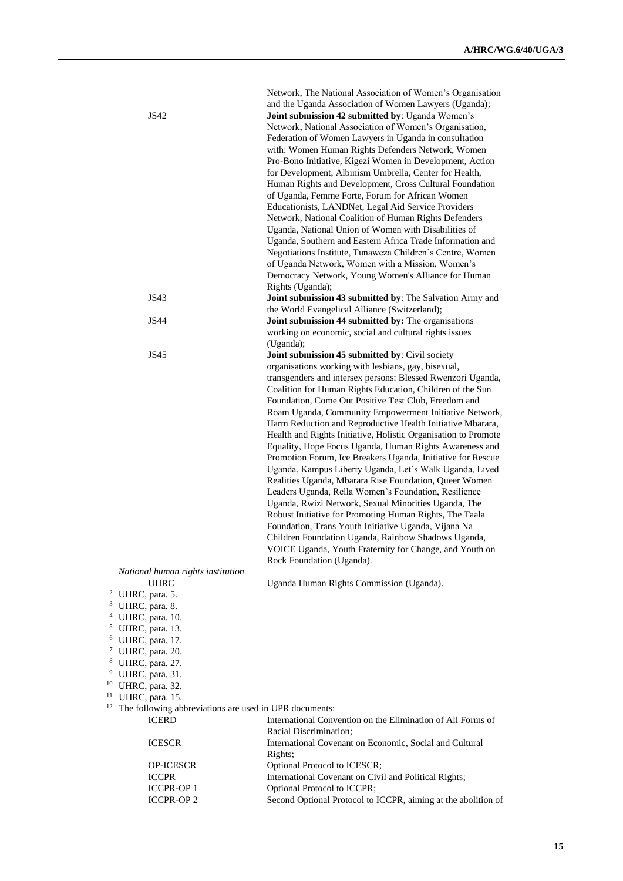| JS42                                                                                                                                                                                                                                                                                                                                                   | Network, The National Association of Women's Organisation<br>and the Uganda Association of Women Lawyers (Uganda);<br>Joint submission 42 submitted by: Uganda Women's<br>Network, National Association of Women's Organisation,<br>Federation of Women Lawyers in Uganda in consultation<br>with: Women Human Rights Defenders Network, Women<br>Pro-Bono Initiative, Kigezi Women in Development, Action<br>for Development, Albinism Umbrella, Center for Health,<br>Human Rights and Development, Cross Cultural Foundation<br>of Uganda, Femme Forte, Forum for African Women<br>Educationists, LANDNet, Legal Aid Service Providers<br>Network, National Coalition of Human Rights Defenders<br>Uganda, National Union of Women with Disabilities of<br>Uganda, Southern and Eastern Africa Trade Information and<br>Negotiations Institute, Tunaweza Children's Centre, Women<br>of Uganda Network, Women with a Mission, Women's<br>Democracy Network, Young Women's Alliance for Human<br>Rights (Uganda);                                                                                                   |
|--------------------------------------------------------------------------------------------------------------------------------------------------------------------------------------------------------------------------------------------------------------------------------------------------------------------------------------------------------|-----------------------------------------------------------------------------------------------------------------------------------------------------------------------------------------------------------------------------------------------------------------------------------------------------------------------------------------------------------------------------------------------------------------------------------------------------------------------------------------------------------------------------------------------------------------------------------------------------------------------------------------------------------------------------------------------------------------------------------------------------------------------------------------------------------------------------------------------------------------------------------------------------------------------------------------------------------------------------------------------------------------------------------------------------------------------------------------------------------------------|
| JS43                                                                                                                                                                                                                                                                                                                                                   | Joint submission 43 submitted by: The Salvation Army and<br>the World Evangelical Alliance (Switzerland);                                                                                                                                                                                                                                                                                                                                                                                                                                                                                                                                                                                                                                                                                                                                                                                                                                                                                                                                                                                                             |
| JS44                                                                                                                                                                                                                                                                                                                                                   | Joint submission 44 submitted by: The organisations<br>working on economic, social and cultural rights issues<br>(Uganda);                                                                                                                                                                                                                                                                                                                                                                                                                                                                                                                                                                                                                                                                                                                                                                                                                                                                                                                                                                                            |
| JS45                                                                                                                                                                                                                                                                                                                                                   | Joint submission 45 submitted by: Civil society<br>organisations working with lesbians, gay, bisexual,<br>transgenders and intersex persons: Blessed Rwenzori Uganda,<br>Coalition for Human Rights Education, Children of the Sun<br>Foundation, Come Out Positive Test Club, Freedom and<br>Roam Uganda, Community Empowerment Initiative Network,<br>Harm Reduction and Reproductive Health Initiative Mbarara,<br>Health and Rights Initiative, Holistic Organisation to Promote<br>Equality, Hope Focus Uganda, Human Rights Awareness and<br>Promotion Forum, Ice Breakers Uganda, Initiative for Rescue<br>Uganda, Kampus Liberty Uganda, Let's Walk Uganda, Lived<br>Realities Uganda, Mbarara Rise Foundation, Queer Women<br>Leaders Uganda, Rella Women's Foundation, Resilience<br>Uganda, Rwizi Network, Sexual Minorities Uganda, The<br>Robust Initiative for Promoting Human Rights, The Taala<br>Foundation, Trans Youth Initiative Uganda, Vijana Na<br>Children Foundation Uganda, Rainbow Shadows Uganda,<br>VOICE Uganda, Youth Fraternity for Change, and Youth on<br>Rock Foundation (Uganda). |
| National human rights institution<br><b>UHRC</b><br><sup>2</sup> UHRC, para. 5.<br><sup>3</sup> UHRC, para. 8.<br><sup>4</sup> UHRC, para. 10.<br>$5$ UHRC, para. 13.<br>$6$ UHRC, para. 17.<br><sup>7</sup> UHRC, para. 20.<br><sup>8</sup> UHRC, para. 27.<br><sup>9</sup> UHRC, para. 31.<br><sup>10</sup> UHRC, para. 32.<br>11<br>UHRC, para. 15. | Uganda Human Rights Commission (Uganda).                                                                                                                                                                                                                                                                                                                                                                                                                                                                                                                                                                                                                                                                                                                                                                                                                                                                                                                                                                                                                                                                              |
| 12<br>The following abbreviations are used in UPR documents:<br><b>ICERD</b><br><b>ICESCR</b>                                                                                                                                                                                                                                                          | International Convention on the Elimination of All Forms of<br>Racial Discrimination;<br>International Covenant on Economic, Social and Cultural                                                                                                                                                                                                                                                                                                                                                                                                                                                                                                                                                                                                                                                                                                                                                                                                                                                                                                                                                                      |
| <b>OP-ICESCR</b>                                                                                                                                                                                                                                                                                                                                       | Rights;<br>Optional Protocol to ICESCR;                                                                                                                                                                                                                                                                                                                                                                                                                                                                                                                                                                                                                                                                                                                                                                                                                                                                                                                                                                                                                                                                               |
| <b>ICCPR</b><br><b>ICCPR-OP1</b>                                                                                                                                                                                                                                                                                                                       | International Covenant on Civil and Political Rights;                                                                                                                                                                                                                                                                                                                                                                                                                                                                                                                                                                                                                                                                                                                                                                                                                                                                                                                                                                                                                                                                 |
| <b>ICCPR-OP 2</b>                                                                                                                                                                                                                                                                                                                                      | Optional Protocol to ICCPR;<br>Second Optional Protocol to ICCPR, aiming at the abolition of                                                                                                                                                                                                                                                                                                                                                                                                                                                                                                                                                                                                                                                                                                                                                                                                                                                                                                                                                                                                                          |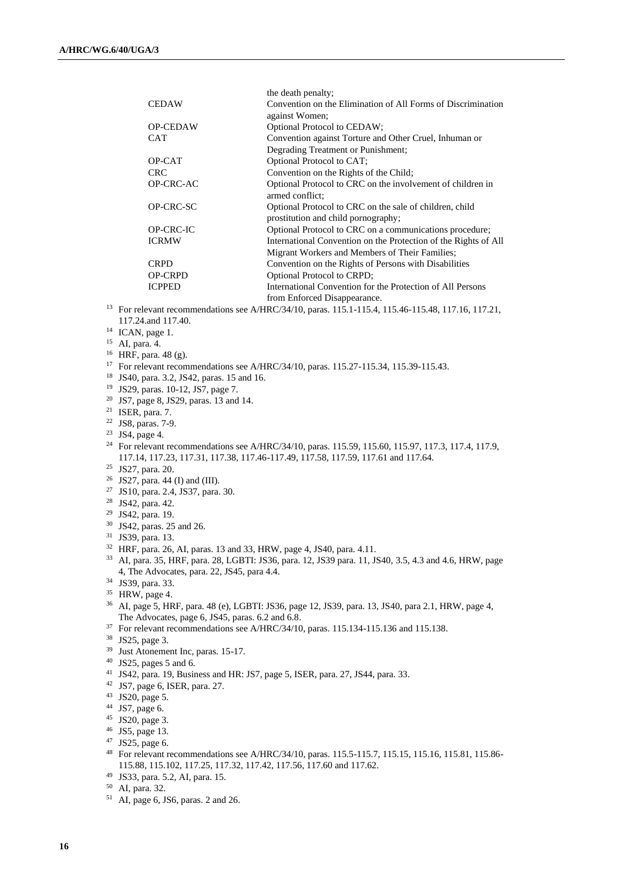|                 | the death penalty;                                                                               |
|-----------------|--------------------------------------------------------------------------------------------------|
| <b>CEDAW</b>    | Convention on the Elimination of All Forms of Discrimination                                     |
|                 | against Women;                                                                                   |
| <b>OP-CEDAW</b> | Optional Protocol to CEDAW;                                                                      |
| <b>CAT</b>      | Convention against Torture and Other Cruel, Inhuman or                                           |
|                 | Degrading Treatment or Punishment;                                                               |
| OP-CAT          | Optional Protocol to CAT;                                                                        |
| <b>CRC</b>      | Convention on the Rights of the Child;                                                           |
| OP-CRC-AC       | Optional Protocol to CRC on the involvement of children in                                       |
|                 | armed conflict;                                                                                  |
| OP-CRC-SC       | Optional Protocol to CRC on the sale of children, child                                          |
|                 | prostitution and child pornography;                                                              |
| OP-CRC-IC       | Optional Protocol to CRC on a communications procedure;                                          |
| <b>ICRMW</b>    | International Convention on the Protection of the Rights of All                                  |
|                 | Migrant Workers and Members of Their Families;                                                   |
| <b>CRPD</b>     | Convention on the Rights of Persons with Disabilities                                            |
| <b>OP-CRPD</b>  | <b>Optional Protocol to CRPD;</b>                                                                |
| <b>ICPPED</b>   | International Convention for the Protection of All Persons                                       |
|                 | from Enforced Disappearance.                                                                     |
|                 | For relevant recommendations see A/HRC/34/10, paras. 115.1-115.4, 115.46-115.48, 117.16, 117.21, |

- 117.24.and 117.40.
- <sup>14</sup> ICAN, page 1.
- <sup>15</sup> AI, para. 4.
- <sup>16</sup> HRF, para. 48 (g).
- <sup>17</sup> For relevant recommendations see A/HRC/34/10, paras. 115.27-115.34, 115.39-115.43.
- <sup>18</sup> JS40, para. 3.2, JS42, paras. 15 and 16.
- <sup>19</sup> JS29, paras. 10-12, JS7, page 7.
- <sup>20</sup> JS7, page 8, JS29, paras. 13 and 14.
- $21$  ISER, para. 7.
- <sup>22</sup> JS8, paras. 7-9.
- <sup>23</sup> JS4, page 4.
- <sup>24</sup> For relevant recommendations see A/HRC/34/10, paras. 115.59, 115.60, 115.97, 117.3, 117.4, 117.9, 117.14, 117.23, 117.31, 117.38, 117.46-117.49, 117.58, 117.59, 117.61 and 117.64.
- <sup>25</sup> JS27, para. 20.
- <sup>26</sup> JS27, para. 44 (I) and (III).
- <sup>27</sup> JS10, para. 2.4, JS37, para. 30.
- <sup>28</sup> JS42, para. 42.
- <sup>29</sup> JS42, para. 19.
- <sup>30</sup> JS42, paras. 25 and 26.
- <sup>31</sup> JS39, para. 13.
- <sup>32</sup> HRF, para. 26, AI, paras. 13 and 33, HRW, page 4, JS40, para. 4.11.
- <sup>33</sup> AI, para. 35, HRF, para. 28, LGBTI: JS36, para. 12, JS39 para. 11, JS40, 3.5, 4.3 and 4.6, HRW, page 4, The Advocates, para. 22, JS45, para 4.4.
- <sup>34</sup> JS39, para. 33.
- <sup>35</sup> HRW, page 4.
- <sup>36</sup> AI, page 5, HRF, para. 48 (e), LGBTI: JS36, page 12, JS39, para. 13, JS40, para 2.1, HRW, page 4, The Advocates, page 6, JS45, paras. 6.2 and 6.8.
- <sup>37</sup> For relevant recommendations see A/HRC/34/10, paras. 115.134-115.136 and 115.138.
- <sup>38</sup> JS25, page 3.
- <sup>39</sup> Just Atonement Inc, paras. 15-17.
- <sup>40</sup> JS25, pages 5 and 6.
- <sup>41</sup> JS42, para. 19, Business and HR: JS7, page 5, ISER, para. 27, JS44, para. 33.
- <sup>42</sup> JS7, page 6, ISER, para. 27.
- <sup>43</sup> JS20, page 5.
- <sup>44</sup> JS7, page 6.
- <sup>45</sup> JS20, page 3.
- <sup>46</sup> JS5, page 13.
- <sup>47</sup> JS25, page 6.
- <sup>48</sup> For relevant recommendations see A/HRC/34/10, paras. 115.5-115.7, 115.15, 115.16, 115.81, 115.86- 115.88, 115.102, 117.25, 117.32, 117.42, 117.56, 117.60 and 117.62.
- <sup>49</sup> JS33, para. 5.2, AI, para. 15.
- <sup>50</sup> AI, para. 32.
- <sup>51</sup> AI, page 6, JS6, paras. 2 and 26.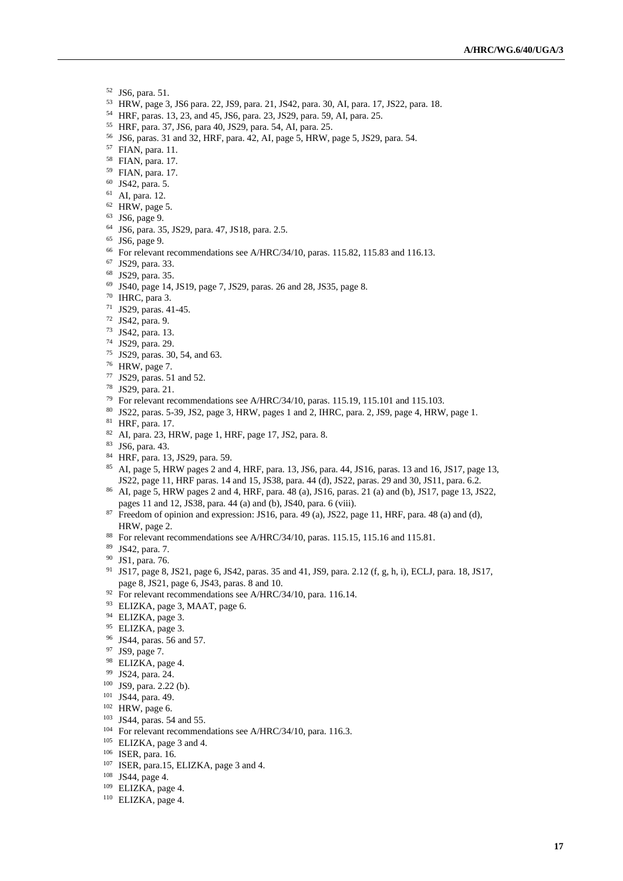- JS6, para. 51.
- HRW, page 3, JS6 para. 22, JS9, para. 21, JS42, para. 30, AI, para. 17, JS22, para. 18.
- HRF, paras. 13, 23, and 45, JS6, para. 23, JS29, para. 59, AI, para. 25.
- HRF, para. 37, JS6, para 40, JS29, para. 54, AI, para. 25.
- JS6, paras. 31 and 32, HRF, para. 42, AI, page 5, HRW, page 5, JS29, para. 54.
- FIAN, para. 11.
- FIAN, para. 17.
- FIAN, para. 17.
- JS42, para. 5.
- AI, para. 12.
- HRW, page 5.
- JS6, page 9.
- JS6, para. 35, JS29, para. 47, JS18, para. 2.5.
- JS6, page 9.
- For relevant recommendations see A/HRC/34/10, paras. 115.82, 115.83 and 116.13.
- JS29, para. 33.
- JS29, para. 35.
- JS40, page 14, JS19, page 7, JS29, paras. 26 and 28, JS35, page 8.
- IHRC, para 3.
- JS29, paras. 41-45.
- JS42, para. 9.
- JS42, para. 13.
- JS29, para. 29.
- JS29, paras. 30, 54, and 63.
- HRW, page 7.
- JS29, paras. 51 and 52.
- JS29, para. 21.
- For relevant recommendations see A/HRC/34/10, paras. 115.19, 115.101 and 115.103.
- JS22, paras. 5-39, JS2, page 3, HRW, pages 1 and 2, IHRC, para. 2, JS9, page 4, HRW, page 1.
- HRF, para. 17.
- AI, para. 23, HRW, page 1, HRF, page 17, JS2, para. 8.
- JS6, para. 43.
- HRF, para. 13, JS29, para. 59.

 AI, page 5, HRW pages 2 and 4, HRF, para. 13, JS6, para. 44, JS16, paras. 13 and 16, JS17, page 13, JS22, page 11, HRF paras. 14 and 15, JS38, para. 44 (d), JS22, paras. 29 and 30, JS11, para. 6.2.

- AI, page 5, HRW pages 2 and 4, HRF, para. 48 (a), JS16, paras. 21 (a) and (b), JS17, page 13, JS22, pages 11 and 12, JS38, para. 44 (a) and (b), JS40, para. 6 (viii).
- <sup>87</sup> Freedom of opinion and expression: JS16, para. 49 (a), JS22, page 11, HRF, para. 48 (a) and (d), HRW, page 2.
- <sup>88</sup> For relevant recommendations see A/HRC/34/10, paras. 115.15, 115.16 and 115.81.
- JS42, para. 7.
- JS1, para. 76.
- JS17, page 8, JS21, page 6, JS42, paras. 35 and 41, JS9, para. 2.12 (f, g, h, i), ECLJ, para. 18, JS17, page 8, JS21, page 6, JS43, paras. 8 and 10.
- <sup>92</sup> For relevant recommendations see A/HRC/34/10, para. 116.14.
- ELIZKA, page 3, MAAT, page 6.
- <sup>94</sup> ELIZKA, page 3.
- <sup>95</sup> ELIZKA, page 3.
- JS44, paras. 56 and 57.
- JS9, page 7.
- ELIZKA, page 4.
- JS24, para. 24.
- JS9, para. 2.22 (b).
- JS44, para. 49.
- HRW, page 6.
- JS44, paras. 54 and 55.
- <sup>104</sup> For relevant recommendations see A/HRC/34/10, para. 116.3.
- ELIZKA, page 3 and 4.
- ISER, para. 16.
- <sup>107</sup> ISER, para.15, ELIZKA, page 3 and 4.
- JS44, page 4.
- ELIZKA, page 4.
- ELIZKA, page 4.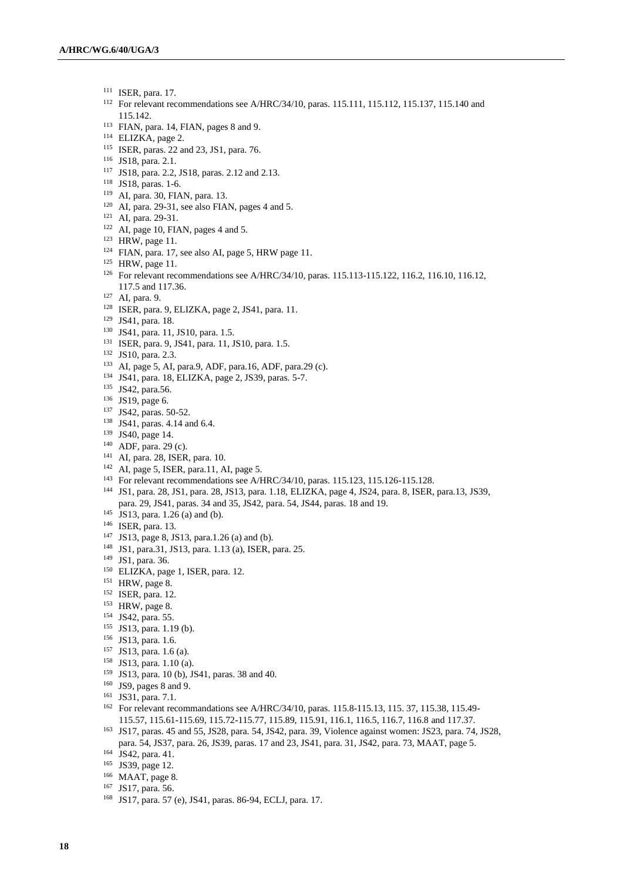- ISER, para. 17.
- For relevant recommendations see A/HRC/34/10, paras. 115.111, 115.112, 115.137, 115.140 and 115.142.
- FIAN, para. 14, FIAN, pages 8 and 9.
- ELIZKA, page 2.
- ISER, paras. 22 and 23, JS1, para. 76.
- JS18, para. 2.1.
- JS18, para. 2.2, JS18, paras. 2.12 and 2.13.
- JS18, paras. 1-6.
- AI, para. 30, FIAN, para. 13.
- AI, para. 29-31, see also FIAN, pages 4 and 5.
- AI, para. 29-31.
- AI, page 10, FIAN, pages 4 and 5.
- HRW, page 11.
- FIAN, para. 17, see also AI, page 5, HRW page 11.
- HRW, page 11.
- For relevant recommendations see A/HRC/34/10, paras. 115.113-115.122, 116.2, 116.10, 116.12, 117.5 and 117.36.
- AI, para. 9.
- ISER, para. 9, ELIZKA, page 2, JS41, para. 11.
- JS41, para. 18.
- JS41, para. 11, JS10, para. 1.5.
- ISER, para. 9, JS41, para. 11, JS10, para. 1.5.
- JS10, para. 2.3.
- AI, page 5, AI, para.9, ADF, para.16, ADF, para.29 (c).
- JS41, para. 18, ELIZKA, page 2, JS39, paras. 5-7.
- <sup>135</sup> JS42, para.56.
- JS19, page 6.
- JS42, paras. 50-52.
- JS41, paras. 4.14 and 6.4.
- JS40, page 14.
- ADF, para. 29 (c).
- AI, para. 28, ISER, para. 10.
- AI, page 5, ISER, para.11, AI, page 5.
- For relevant recommendations see A/HRC/34/10, paras. 115.123, 115.126-115.128.
- JS1, para. 28, JS1, para. 28, JS13, para. 1.18, ELIZKA, page 4, JS24, para. 8, ISER, para.13, JS39, para. 29, JS41, paras. 34 and 35, JS42, para. 54, JS44, paras. 18 and 19.
- JS13, para. 1.26 (a) and (b).
- ISER, para. 13.
- JS13, page 8, JS13, para.1.26 (a) and (b).
- JS1, para.31, JS13, para. 1.13 (a), ISER, para. 25.
- JS1, para. 36.
- <sup>150</sup> ELIZKA, page 1, ISER, para. 12.
- HRW, page 8.
- ISER, para. 12.
- HRW, page 8.
- JS42, para. 55.
- JS13, para. 1.19 (b).
- JS13, para. 1.6.
- JS13, para. 1.6 (a).
- JS13, para. 1.10 (a).
- JS13, para. 10 (b), JS41, paras. 38 and 40.
- JS9, pages 8 and 9.
- JS31, para. 7.1.
- For relevant recommandations see A/HRC/34/10, paras. 115.8-115.13, 115. 37, 115.38, 115.49- 115.57, 115.61-115.69, 115.72-115.77, 115.89, 115.91, 116.1, 116.5, 116.7, 116.8 and 117.37.
- JS17, paras. 45 and 55, JS28, para. 54, JS42, para. 39, Violence against women: JS23, para. 74, JS28, para. 54, JS37, para. 26, JS39, paras. 17 and 23, JS41, para. 31, JS42, para. 73, MAAT, page 5.
- JS42, para. 41.
- <sup>165</sup> JS39, page 12.
- MAAT, page 8.
- JS17, para. 56.
- JS17, para. 57 (e), JS41, paras. 86-94, ECLJ, para. 17.